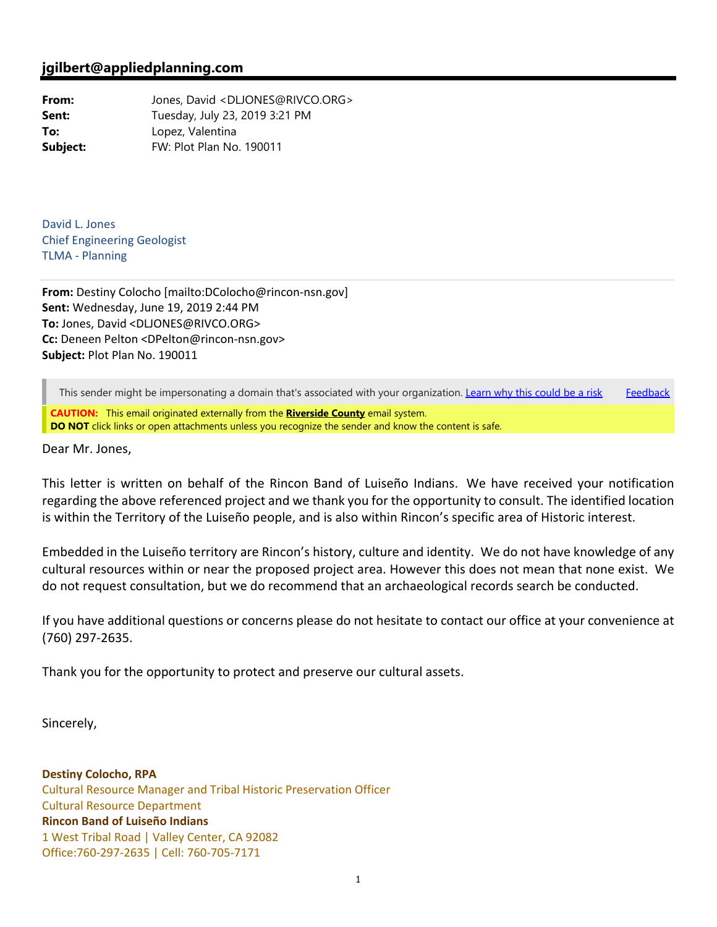## **jgilbert@appliedplanning.com**

From: Jones, David <DLJONES@RIVCO.ORG> **Sent:** Tuesday, July 23, 2019 3:21 PM **To:** Lopez, Valentina **Subject:** FW: Plot Plan No. 190011

David L. Jones Chief Engineering Geologist TLMA ‐ Planning

**From:** Destiny Colocho [mailto:DColocho@rincon‐nsn.gov] **Sent:** Wednesday, June 19, 2019 2:44 PM **To:** Jones, David <DLJONES@RIVCO.ORG> **Cc:** Deneen Pelton <DPelton@rincon‐nsn.gov> **Subject:** Plot Plan No. 190011

This sender might be impersonating a domain that's associated with your organization. Learn why this could be a risk Feedback

**CAUTION:** This email originated externally from the **Riverside County** email system. **DO NOT** click links or open attachments unless you recognize the sender and know the content is safe.

Dear Mr. Jones,

This letter is written on behalf of the Rincon Band of Luiseño Indians. We have received your notification regarding the above referenced project and we thank you for the opportunity to consult. The identified location is within the Territory of the Luiseño people, and is also within Rincon's specific area of Historic interest.

Embedded in the Luiseño territory are Rincon's history, culture and identity. We do not have knowledge of any cultural resources within or near the proposed project area. However this does not mean that none exist. We do not request consultation, but we do recommend that an archaeological records search be conducted.

If you have additional questions or concerns please do not hesitate to contact our office at your convenience at (760) 297‐2635.

Thank you for the opportunity to protect and preserve our cultural assets.

Sincerely,

**Destiny Colocho, RPA** Cultural Resource Manager and Tribal Historic Preservation Officer Cultural Resource Department **Rincon Band of Luiseño Indians** 1 West Tribal Road | Valley Center, CA 92082 Office:760‐297‐2635 | Cell: 760‐705‐7171